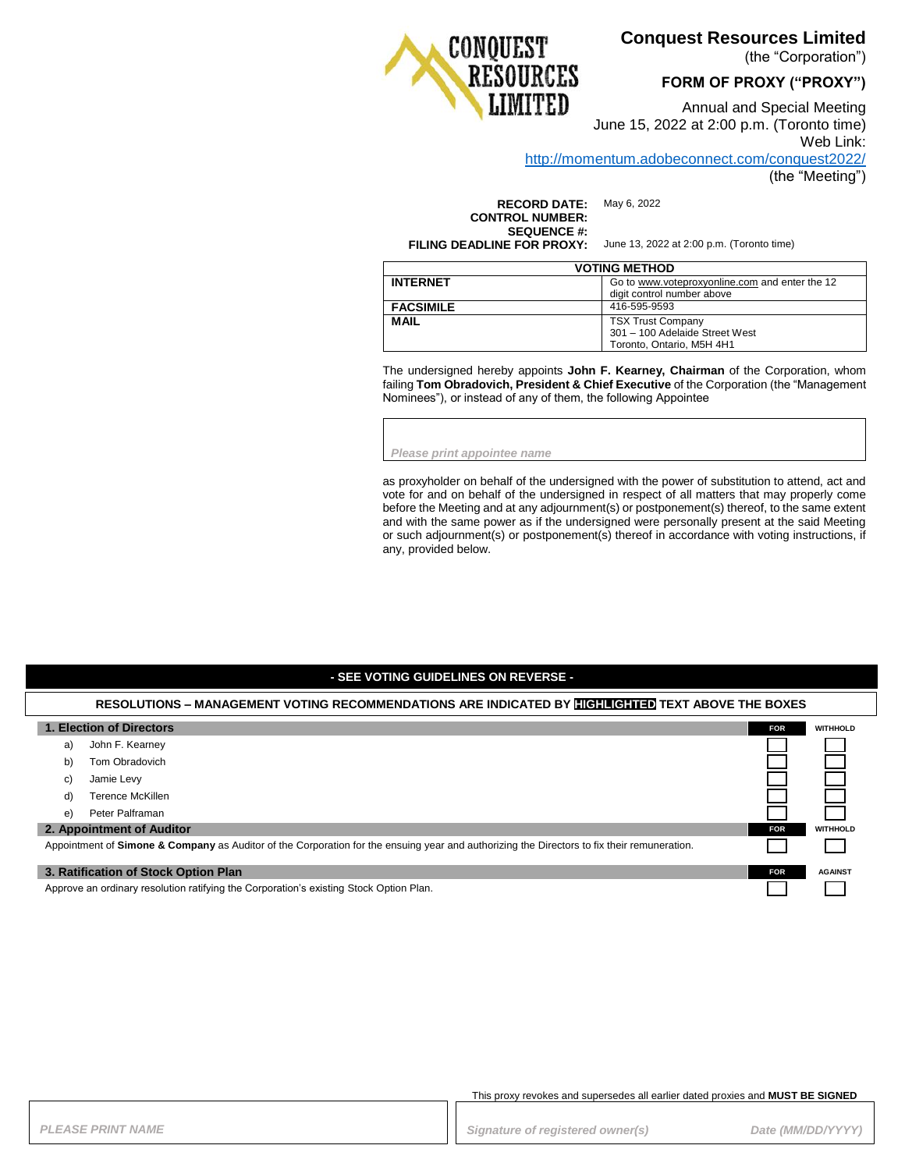# **Conquest Resources Limited**

(the "Corporation")

### **FORM OF PROXY ("PROXY")**



Annual and Special Meeting June 15, 2022 at 2:00 p.m. (Toronto time) Web Link: <http://momentum.adobeconnect.com/conquest2022/>

(the "Meeting")

**RECORD DATE:** May 6, 2022 **CONTROL NUMBER: SEQUENCE #:**

**FILING DEADLINE FOR PROXY:** June 13, 2022 at 2:00 p.m. (Toronto time)

| <b>VOTING METHOD</b> |                                                                                         |  |
|----------------------|-----------------------------------------------------------------------------------------|--|
| <b>INTERNET</b>      | Go to www.voteproxyonline.com and enter the 12<br>digit control number above            |  |
| <b>FACSIMILE</b>     | 416-595-9593                                                                            |  |
| <b>MAIL</b>          | <b>TSX Trust Company</b><br>301 - 100 Adelaide Street West<br>Toronto, Ontario, M5H 4H1 |  |

The undersigned hereby appoints **John F. Kearney, Chairman** of the Corporation, whom failing **Tom Obradovich, President & Chief Executive** of the Corporation (the "Management Nominees"), or instead of any of them, the following Appointee

*Please print appointee name*

as proxyholder on behalf of the undersigned with the power of substitution to attend, act and vote for and on behalf of the undersigned in respect of all matters that may properly come before the Meeting and at any adjournment(s) or postponement(s) thereof, to the same extent and with the same power as if the undersigned were personally present at the said Meeting or such adjournment(s) or postponement(s) thereof in accordance with voting instructions, if any, provided below.

### **- SEE VOTING GUIDELINES ON REVERSE -**

#### **RESOLUTIONS – MANAGEMENT VOTING RECOMMENDATIONS ARE INDICATED BY HIGHLIGHTED TEXT ABOVE THE BOXES**

| 1. Election of Directors                                                                                                                    |                        | <b>FOR</b> | <b>WITHHOLD</b> |
|---------------------------------------------------------------------------------------------------------------------------------------------|------------------------|------------|-----------------|
|                                                                                                                                             | John F. Kearney<br>a)  |            |                 |
|                                                                                                                                             | Tom Obradovich<br>b)   |            |                 |
|                                                                                                                                             | Jamie Levy<br>C)       |            |                 |
|                                                                                                                                             | Terence McKillen<br>d) |            |                 |
|                                                                                                                                             | Peter Palframan<br>e)  |            |                 |
| 2. Appointment of Auditor                                                                                                                   |                        | <b>FOR</b> | <b>WITHHOLD</b> |
| Appointment of Simone & Company as Auditor of the Corporation for the ensuing year and authorizing the Directors to fix their remuneration. |                        |            |                 |
| 3. Ratification of Stock Option Plan                                                                                                        |                        | <b>FOR</b> | <b>AGAINST</b>  |
| Approve an ordinary resolution ratifying the Corporation's existing Stock Option Plan.                                                      |                        |            |                 |

This proxy revokes and supersedes all earlier dated proxies and **MUST BE SIGNED**

**PLEASE PRINT NAME** *PRINT NAME PLEASE PRINT NAME Date (MM/DD/YYYY)*